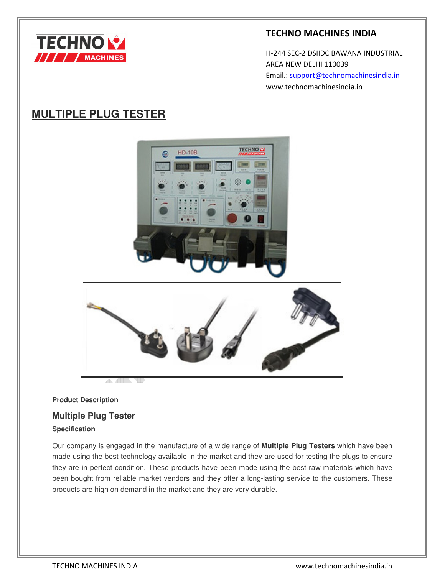

## **TECHNO MACHINES INDIA**

 H-244 SEC-2 DSIIDC BAWANA INDUSTRIAL AREA NEW DELHI 110039 Email.: support@technomachinesindia.in www.technomachinesindia.in

# **MULTIPLE PLUG TESTER**





## **Product Description**

## **Multiple Plug Tester**

A.

## **Specification**

Our company is engaged in the manufacture of a wide range of **Multiple Plug Testers** which have been made using the best technology available in the market and they are used for testing the plugs to ensure they are in perfect condition. These products have been made using the best raw materials which have been bought from reliable market vendors and they offer a long-lasting service to the customers. These products are high on demand in the market and they are very durable.